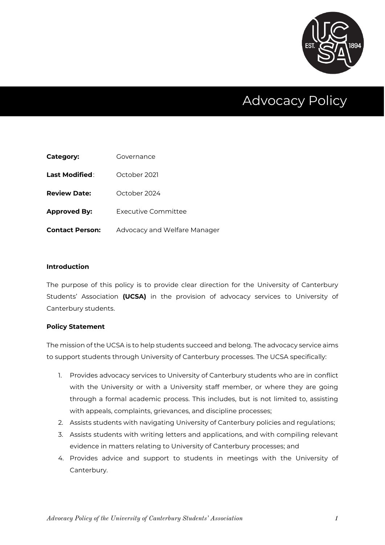

# Advocacy Policy

| Category:              | Governance                   |
|------------------------|------------------------------|
| Last Modified:         | October 2021                 |
| <b>Review Date:</b>    | October 2024                 |
| <b>Approved By:</b>    | <b>Executive Committee</b>   |
| <b>Contact Person:</b> | Advocacy and Welfare Manager |

#### **Introduction**

The purpose of this policy is to provide clear direction for the University of Canterbury Students' Association **(UCSA)** in the provision of advocacy services to University of Canterbury students.

#### **Policy Statement**

The mission of the UCSA is to help students succeed and belong. The advocacy service aims to support students through University of Canterbury processes. The UCSA specifically:

- 1. Provides advocacy services to University of Canterbury students who are in conflict with the University or with a University staff member, or where they are going through a formal academic process. This includes, but is not limited to, assisting with appeals, complaints, grievances, and discipline processes;
- 2. Assists students with navigating University of Canterbury policies and regulations;
- 3. Assists students with writing letters and applications, and with compiling relevant evidence in matters relating to University of Canterbury processes; and
- 4. Provides advice and support to students in meetings with the University of Canterbury.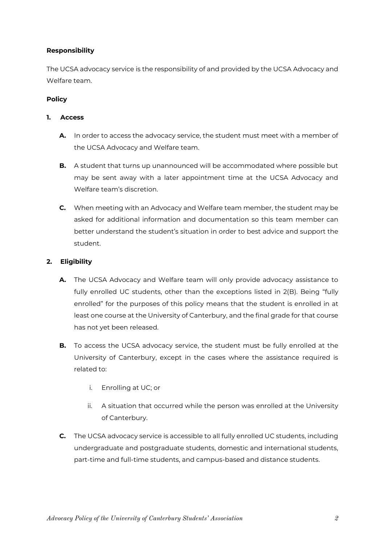# **Responsibility**

The UCSA advocacy service is the responsibility of and provided by the UCSA Advocacy and Welfare team.

# **Policy**

# **1. Access**

- **A.** In order to access the advocacy service, the student must meet with a member of the UCSA Advocacy and Welfare team.
- **B.** A student that turns up unannounced will be accommodated where possible but may be sent away with a later appointment time at the UCSA Advocacy and Welfare team's discretion.
- **C.** When meeting with an Advocacy and Welfare team member, the student may be asked for additional information and documentation so this team member can better understand the student's situation in order to best advice and support the student.

# **2. Eligibility**

- **A.** The UCSA Advocacy and Welfare team will only provide advocacy assistance to fully enrolled UC students, other than the exceptions listed in 2(B). Being "fully enrolled" for the purposes of this policy means that the student is enrolled in at least one course at the University of Canterbury, and the final grade for that course has not yet been released.
- **B.** To access the UCSA advocacy service, the student must be fully enrolled at the University of Canterbury, except in the cases where the assistance required is related to:
	- i. Enrolling at UC; or
	- ii. A situation that occurred while the person was enrolled at the University of Canterbury.
- **C.** The UCSA advocacy service is accessible to all fully enrolled UC students, including undergraduate and postgraduate students, domestic and international students, part-time and full-time students, and campus-based and distance students.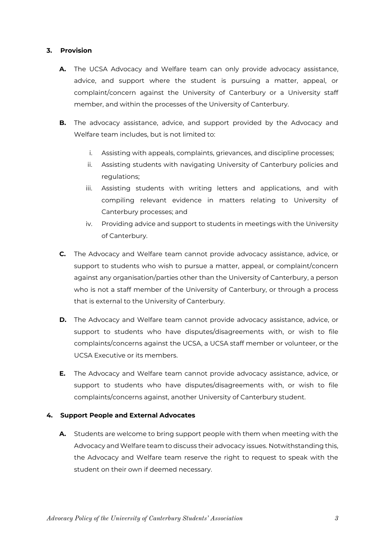# **3. Provision**

- **A.** The UCSA Advocacy and Welfare team can only provide advocacy assistance, advice, and support where the student is pursuing a matter, appeal, or complaint/concern against the University of Canterbury or a University staff member, and within the processes of the University of Canterbury.
- **B.** The advocacy assistance, advice, and support provided by the Advocacy and Welfare team includes, but is not limited to:
	- i. Assisting with appeals, complaints, grievances, and discipline processes;
	- ii. Assisting students with navigating University of Canterbury policies and regulations;
	- iii. Assisting students with writing letters and applications, and with compiling relevant evidence in matters relating to University of Canterbury processes; and
	- iv. Providing advice and support to students in meetings with the University of Canterbury.
- **C.** The Advocacy and Welfare team cannot provide advocacy assistance, advice, or support to students who wish to pursue a matter, appeal, or complaint/concern against any organisation/parties other than the University of Canterbury, a person who is not a staff member of the University of Canterbury, or through a process that is external to the University of Canterbury.
- **D.** The Advocacy and Welfare team cannot provide advocacy assistance, advice, or support to students who have disputes/disagreements with, or wish to file complaints/concerns against the UCSA, a UCSA staff member or volunteer, or the UCSA Executive or its members.
- **E.** The Advocacy and Welfare team cannot provide advocacy assistance, advice, or support to students who have disputes/disagreements with, or wish to file complaints/concerns against, another University of Canterbury student.

# **4. Support People and External Advocates**

**A.** Students are welcome to bring support people with them when meeting with the Advocacy and Welfare team to discuss their advocacy issues. Notwithstanding this, the Advocacy and Welfare team reserve the right to request to speak with the student on their own if deemed necessary.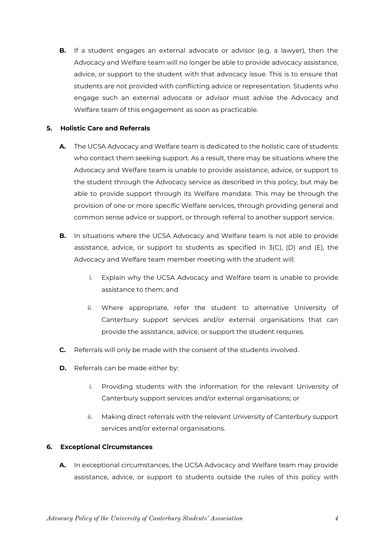**B.** If a student engages an external advocate or advisor (e.g. a lawyer), then the Advocacy and Welfare team will no longer be able to provide advocacy assistance, advice, or support to the student with that advocacy issue. This is to ensure that students are not provided with conflicting advice or representation. Students who engage such an external advocate or advisor must advise the Advocacy and Welfare team of this engagement as soon as practicable.

#### **5. Holistic Care and Referrals**

- **A.** The UCSA Advocacy and Welfare team is dedicated to the holistic care of students who contact them seeking support. As a result, there may be situations where the Advocacy and Welfare team is unable to provide assistance, advice, or support to the student through the Advocacy service as described in this policy, but may be able to provide support through its Welfare mandate. This may be through the provision of one or more specific Welfare services, through providing general and common sense advice or support, or through referral to another support service.
- **B.** In situations where the UCSA Advocacy and Welfare team is not able to provide assistance, advice, or support to students as specified in 3(C), (D) and (E), the Advocacy and Welfare team member meeting with the student will:
	- i. Explain why the UCSA Advocacy and Welfare team is unable to provide assistance to them; and
	- ii. Where appropriate, refer the student to alternative University of Canterbury support services and/or external organisations that can provide the assistance, advice, or support the student requires.
- **C.** Referrals will only be made with the consent of the students involved.
- **D.** Referrals can be made either by:
	- i. Providing students with the information for the relevant University of Canterbury support services and/or external organisations; or
	- ii. Making direct referrals with the relevant University of Canterbury support services and/or external organisations.

# **6. Exceptional Circumstances**

**A.** In exceptional circumstances, the UCSA Advocacy and Welfare team may provide assistance, advice, or support to students outside the rules of this policy with